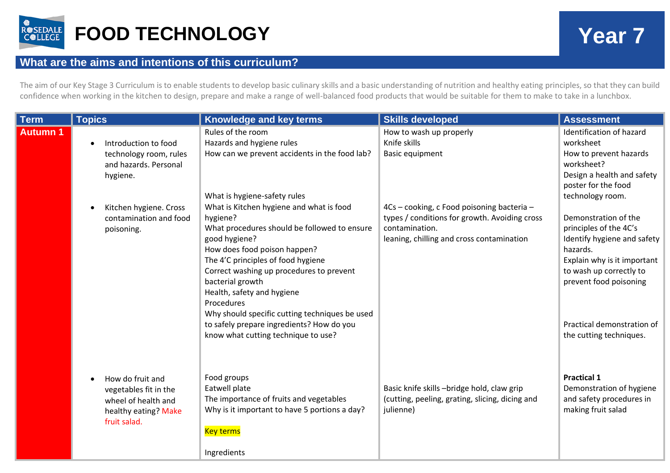

## **What are the aims and intentions of this curriculum?**

The aim of our Key Stage 3 Curriculum is to enable students to develop basic culinary skills and a basic understanding of nutrition and healthy eating principles, so that they can build confidence when working in the kitchen to design, prepare and make a range of well-balanced food products that would be suitable for them to make to take in a lunchbox.

| <b>Term</b>     | <b>Topics</b>                                                                                            | <b>Knowledge and key terms</b>                                                                                                                                                                                                                                                                                                                                                                                                                                                | <b>Skills developed</b>                                                                                                                                    | <b>Assessment</b>                                                                                                                                                                                                                                          |
|-----------------|----------------------------------------------------------------------------------------------------------|-------------------------------------------------------------------------------------------------------------------------------------------------------------------------------------------------------------------------------------------------------------------------------------------------------------------------------------------------------------------------------------------------------------------------------------------------------------------------------|------------------------------------------------------------------------------------------------------------------------------------------------------------|------------------------------------------------------------------------------------------------------------------------------------------------------------------------------------------------------------------------------------------------------------|
| <b>Autumn 1</b> | Introduction to food<br>technology room, rules<br>and hazards. Personal<br>hygiene.                      | Rules of the room<br>Hazards and hygiene rules<br>How can we prevent accidents in the food lab?                                                                                                                                                                                                                                                                                                                                                                               | How to wash up properly<br>Knife skills<br>Basic equipment                                                                                                 | Identification of hazard<br>worksheet<br>How to prevent hazards<br>worksheet?<br>Design a health and safety<br>poster for the food                                                                                                                         |
|                 | Kitchen hygiene. Cross<br>contamination and food<br>poisoning.                                           | What is hygiene-safety rules<br>What is Kitchen hygiene and what is food<br>hygiene?<br>What procedures should be followed to ensure<br>good hygiene?<br>How does food poison happen?<br>The 4'C principles of food hygiene<br>Correct washing up procedures to prevent<br>bacterial growth<br>Health, safety and hygiene<br>Procedures<br>Why should specific cutting techniques be used<br>to safely prepare ingredients? How do you<br>know what cutting technique to use? | 4Cs - cooking, c Food poisoning bacteria -<br>types / conditions for growth. Avoiding cross<br>contamination.<br>leaning, chilling and cross contamination | technology room.<br>Demonstration of the<br>principles of the 4C's<br>Identify hygiene and safety<br>hazards.<br>Explain why is it important<br>to wash up correctly to<br>prevent food poisoning<br>Practical demonstration of<br>the cutting techniques. |
|                 | How do fruit and<br>vegetables fit in the<br>wheel of health and<br>healthy eating? Make<br>fruit salad. | Food groups<br>Eatwell plate<br>The importance of fruits and vegetables<br>Why is it important to have 5 portions a day?<br><b>Key terms</b><br>Ingredients                                                                                                                                                                                                                                                                                                                   | Basic knife skills -bridge hold, claw grip<br>(cutting, peeling, grating, slicing, dicing and<br>julienne)                                                 | <b>Practical 1</b><br>Demonstration of hygiene<br>and safety procedures in<br>making fruit salad                                                                                                                                                           |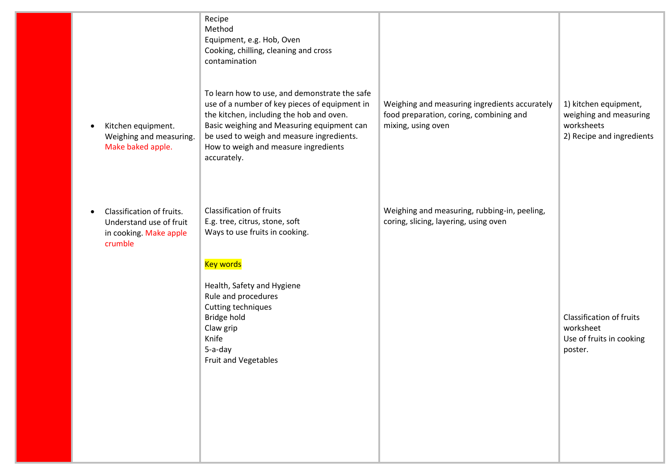| Kitchen equipment.<br>Weighing and measuring.<br>Make baked apple.                        | Recipe<br>Method<br>Equipment, e.g. Hob, Oven<br>Cooking, chilling, cleaning and cross<br>contamination<br>To learn how to use, and demonstrate the safe<br>use of a number of key pieces of equipment in<br>the kitchen, including the hob and oven.<br>Basic weighing and Measuring equipment can<br>be used to weigh and measure ingredients.<br>How to weigh and measure ingredients<br>accurately. | Weighing and measuring ingredients accurately<br>food preparation, coring, combining and<br>mixing, using oven | 1) kitchen equipment,<br>weighing and measuring<br>worksheets<br>2) Recipe and ingredients |
|-------------------------------------------------------------------------------------------|---------------------------------------------------------------------------------------------------------------------------------------------------------------------------------------------------------------------------------------------------------------------------------------------------------------------------------------------------------------------------------------------------------|----------------------------------------------------------------------------------------------------------------|--------------------------------------------------------------------------------------------|
| Classification of fruits.<br>Understand use of fruit<br>in cooking. Make apple<br>crumble | <b>Classification of fruits</b><br>E.g. tree, citrus, stone, soft<br>Ways to use fruits in cooking.<br><b>Key words</b><br>Health, Safety and Hygiene<br>Rule and procedures<br>Cutting techniques<br>Bridge hold<br>Claw grip<br>Knife<br>5-a-day<br>Fruit and Vegetables                                                                                                                              | Weighing and measuring, rubbing-in, peeling,<br>coring, slicing, layering, using oven                          | <b>Classification of fruits</b><br>worksheet<br>Use of fruits in cooking<br>poster.        |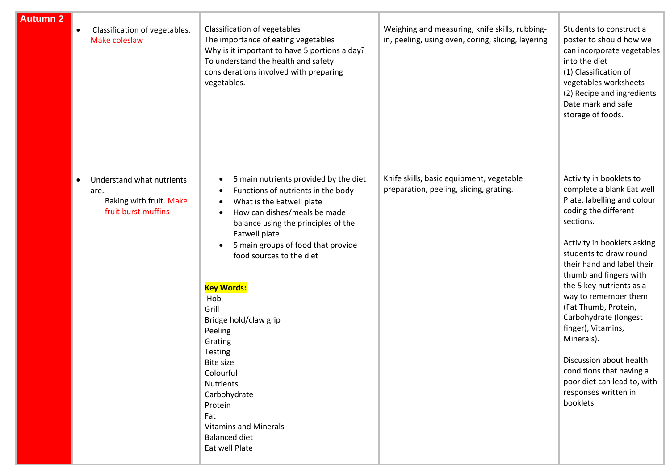| <b>Autumn 2</b> | Classification of vegetables.<br>Make coleslaw                                      | Classification of vegetables<br>The importance of eating vegetables<br>Why is it important to have 5 portions a day?<br>To understand the health and safety<br>considerations involved with preparing<br>vegetables.                                                                                                                                                                                                                                                                                                                                              | Weighing and measuring, knife skills, rubbing-<br>in, peeling, using oven, coring, slicing, layering | Students to construct a<br>poster to should how we<br>can incorporate vegetables<br>into the diet<br>(1) Classification of<br>vegetables worksheets<br>(2) Recipe and ingredients<br>Date mark and safe<br>storage of foods.                                                                                                                                                                                                                                                                                 |
|-----------------|-------------------------------------------------------------------------------------|-------------------------------------------------------------------------------------------------------------------------------------------------------------------------------------------------------------------------------------------------------------------------------------------------------------------------------------------------------------------------------------------------------------------------------------------------------------------------------------------------------------------------------------------------------------------|------------------------------------------------------------------------------------------------------|--------------------------------------------------------------------------------------------------------------------------------------------------------------------------------------------------------------------------------------------------------------------------------------------------------------------------------------------------------------------------------------------------------------------------------------------------------------------------------------------------------------|
|                 | Understand what nutrients<br>are.<br>Baking with fruit. Make<br>fruit burst muffins | 5 main nutrients provided by the diet<br>٠<br>Functions of nutrients in the body<br>What is the Eatwell plate<br>$\bullet$<br>How can dishes/meals be made<br>$\bullet$<br>balance using the principles of the<br>Eatwell plate<br>5 main groups of food that provide<br>food sources to the diet<br><b>Key Words:</b><br>Hob<br>Grill<br>Bridge hold/claw grip<br>Peeling<br>Grating<br>Testing<br><b>Bite size</b><br>Colourful<br><b>Nutrients</b><br>Carbohydrate<br>Protein<br>Fat<br><b>Vitamins and Minerals</b><br><b>Balanced diet</b><br>Eat well Plate | Knife skills, basic equipment, vegetable<br>preparation, peeling, slicing, grating.                  | Activity in booklets to<br>complete a blank Eat well<br>Plate, labelling and colour<br>coding the different<br>sections.<br>Activity in booklets asking<br>students to draw round<br>their hand and label their<br>thumb and fingers with<br>the 5 key nutrients as a<br>way to remember them<br>(Fat Thumb, Protein,<br>Carbohydrate (longest<br>finger), Vitamins,<br>Minerals).<br>Discussion about health<br>conditions that having a<br>poor diet can lead to, with<br>responses written in<br>booklets |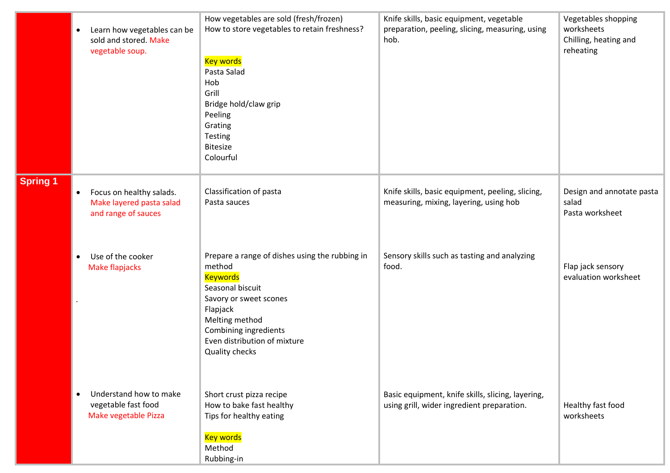|                 | $\bullet$ | Learn how vegetables can be<br>sold and stored. Make<br>vegetable soup.     | How vegetables are sold (fresh/frozen)<br>How to store vegetables to retain freshness?<br><b>Key words</b><br>Pasta Salad<br>Hob<br>Grill<br>Bridge hold/claw grip<br>Peeling<br>Grating<br>Testing<br><b>Bitesize</b><br>Colourful | Knife skills, basic equipment, vegetable<br>preparation, peeling, slicing, measuring, using<br>hob. | Vegetables shopping<br>worksheets<br>Chilling, heating and<br>reheating |
|-----------------|-----------|-----------------------------------------------------------------------------|-------------------------------------------------------------------------------------------------------------------------------------------------------------------------------------------------------------------------------------|-----------------------------------------------------------------------------------------------------|-------------------------------------------------------------------------|
| <b>Spring 1</b> | $\bullet$ | Focus on healthy salads.<br>Make layered pasta salad<br>and range of sauces | Classification of pasta<br>Pasta sauces                                                                                                                                                                                             | Knife skills, basic equipment, peeling, slicing,<br>measuring, mixing, layering, using hob          | Design and annotate pasta<br>salad<br>Pasta worksheet                   |
|                 |           | Use of the cooker<br>Make flapjacks                                         | Prepare a range of dishes using the rubbing in<br>method<br><b>Keywords</b><br>Seasonal biscuit<br>Savory or sweet scones<br>Flapjack<br>Melting method<br>Combining ingredients<br>Even distribution of mixture<br>Quality checks  | Sensory skills such as tasting and analyzing<br>food.                                               | Flap jack sensory<br>evaluation worksheet                               |
|                 |           | Understand how to make<br>vegetable fast food<br>Make vegetable Pizza       | Short crust pizza recipe<br>How to bake fast healthy<br>Tips for healthy eating<br><b>Key words</b><br>Method<br>Rubbing-in                                                                                                         | Basic equipment, knife skills, slicing, layering,<br>using grill, wider ingredient preparation.     | Healthy fast food<br>worksheets                                         |